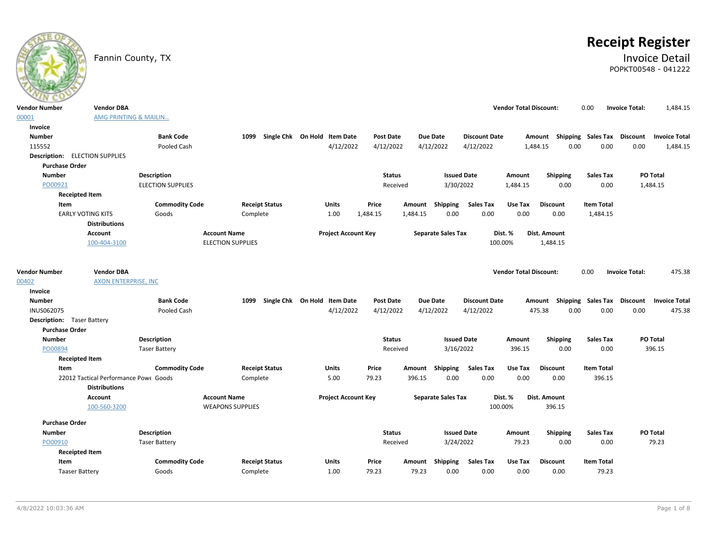# **Receipt Register**

## Fannin County, TX **Invoice Detail** POPKT00548 - 041222

|                                       | <b>Vendor DBA</b>                     |                          |                          |                              |                            |           |               |                 |                           |                      | <b>Vendor Total Discount:</b> |                 |                           |                   |                       |                      |
|---------------------------------------|---------------------------------------|--------------------------|--------------------------|------------------------------|----------------------------|-----------|---------------|-----------------|---------------------------|----------------------|-------------------------------|-----------------|---------------------------|-------------------|-----------------------|----------------------|
| <b>Vendor Number</b>                  | AMG PRINTING & MAILIN                 |                          |                          |                              |                            |           |               |                 |                           |                      |                               |                 |                           | 0.00              | <b>Invoice Total:</b> | 1,484.15             |
| 00001                                 |                                       |                          |                          |                              |                            |           |               |                 |                           |                      |                               |                 |                           |                   |                       |                      |
| Invoice                               |                                       |                          |                          |                              |                            |           |               |                 |                           |                      |                               |                 |                           |                   |                       |                      |
| <b>Number</b>                         |                                       | <b>Bank Code</b>         | 1099                     | Single Chk On Hold Item Date |                            | Post Date |               | <b>Due Date</b> |                           | <b>Discount Date</b> |                               |                 | Amount Shipping Sales Tax |                   | Discount              | <b>Invoice Total</b> |
| 115552                                |                                       | Pooled Cash              |                          |                              | 4/12/2022                  | 4/12/2022 |               | 4/12/2022       |                           | 4/12/2022            |                               | 1,484.15        | 0.00                      | 0.00              | 0.00                  | 1,484.15             |
| <b>Description:</b> ELECTION SUPPLIES |                                       |                          |                          |                              |                            |           |               |                 |                           |                      |                               |                 |                           |                   |                       |                      |
| <b>Purchase Order</b>                 |                                       |                          |                          |                              |                            |           |               |                 |                           |                      |                               |                 |                           |                   |                       |                      |
| <b>Number</b>                         |                                       | Description              |                          |                              |                            |           | <b>Status</b> |                 | <b>Issued Date</b>        |                      | Amount                        |                 | Shipping                  | <b>Sales Tax</b>  |                       | PO Total             |
| PO00921                               |                                       | <b>ELECTION SUPPLIES</b> |                          |                              |                            |           | Received      |                 | 3/30/2022                 |                      | 1,484.15                      |                 | 0.00                      | 0.00              |                       | 1,484.15             |
| <b>Receipted Item</b>                 |                                       |                          |                          |                              |                            |           |               |                 |                           |                      |                               |                 |                           |                   |                       |                      |
| Item                                  |                                       | <b>Commodity Code</b>    | <b>Receipt Status</b>    |                              | Units                      | Price     | Amount        |                 | Shipping                  | <b>Sales Tax</b>     | Use Tax                       | <b>Discount</b> |                           | <b>Item Total</b> |                       |                      |
|                                       | <b>EARLY VOTING KITS</b>              | Goods                    | Complete                 |                              | 1.00                       | 1,484.15  | 1,484.15      |                 | 0.00                      | 0.00                 | 0.00                          |                 | 0.00                      | 1,484.15          |                       |                      |
|                                       | <b>Distributions</b>                  |                          |                          |                              |                            |           |               |                 |                           |                      |                               |                 |                           |                   |                       |                      |
|                                       | Account                               |                          | <b>Account Name</b>      |                              | <b>Project Account Key</b> |           |               |                 | <b>Separate Sales Tax</b> |                      | Dist. %                       | Dist. Amount    |                           |                   |                       |                      |
|                                       | 100-404-3100                          |                          | <b>ELECTION SUPPLIES</b> |                              |                            |           |               |                 |                           |                      | 100.00%                       | 1,484.15        |                           |                   |                       |                      |
|                                       |                                       |                          |                          |                              |                            |           |               |                 |                           |                      |                               |                 |                           |                   |                       |                      |
| <b>Vendor Number</b>                  | <b>Vendor DBA</b>                     |                          |                          |                              |                            |           |               |                 |                           |                      | <b>Vendor Total Discount:</b> |                 |                           | 0.00              | <b>Invoice Total:</b> | 475.38               |
| 00402                                 | <b>AXON ENTERPRISE, INC</b>           |                          |                          |                              |                            |           |               |                 |                           |                      |                               |                 |                           |                   |                       |                      |
| Invoice                               |                                       |                          |                          |                              |                            |           |               |                 |                           |                      |                               |                 |                           |                   |                       |                      |
| <b>Number</b>                         |                                       | <b>Bank Code</b>         | 1099                     | Single Chk On Hold Item Date |                            | Post Date |               | <b>Due Date</b> |                           | <b>Discount Date</b> |                               |                 | Amount Shipping Sales Tax |                   | Discount              | <b>Invoice Total</b> |
| <b>INUS062075</b>                     |                                       | Pooled Cash              |                          |                              | 4/12/2022                  | 4/12/2022 |               | 4/12/2022       |                           | 4/12/2022            |                               | 475.38          | 0.00                      | 0.00              | 0.00                  | 475.38               |
| <b>Description:</b> Taser Battery     |                                       |                          |                          |                              |                            |           |               |                 |                           |                      |                               |                 |                           |                   |                       |                      |
| <b>Purchase Order</b>                 |                                       |                          |                          |                              |                            |           |               |                 |                           |                      |                               |                 |                           |                   |                       |                      |
| <b>Number</b>                         |                                       | <b>Description</b>       |                          |                              |                            |           | <b>Status</b> |                 | <b>Issued Date</b>        |                      | Amount                        |                 | Shipping                  | <b>Sales Tax</b>  |                       | PO Total             |
| PO00894                               |                                       | <b>Taser Battery</b>     |                          |                              |                            |           | Received      |                 | 3/16/2022                 |                      | 396.15                        |                 | 0.00                      | 0.00              |                       | 396.15               |
| <b>Receipted Item</b>                 |                                       |                          |                          |                              |                            |           |               |                 |                           |                      |                               |                 |                           |                   |                       |                      |
| Item                                  |                                       | <b>Commodity Code</b>    | <b>Receipt Status</b>    |                              | Units                      | Price     | Amount        |                 | Shipping                  | <b>Sales Tax</b>     | Use Tax                       | <b>Discount</b> |                           | <b>Item Total</b> |                       |                      |
|                                       | 22012 Tactical Performance Powe Goods |                          | Complete                 |                              | 5.00                       | 79.23     | 396.15        |                 | 0.00                      | 0.00                 | 0.00                          |                 | 0.00                      | 396.15            |                       |                      |
|                                       | <b>Distributions</b>                  |                          |                          |                              |                            |           |               |                 |                           |                      |                               |                 |                           |                   |                       |                      |
|                                       | Account                               |                          | <b>Account Name</b>      |                              | <b>Project Account Key</b> |           |               |                 | <b>Separate Sales Tax</b> |                      | Dist. %                       | Dist. Amount    |                           |                   |                       |                      |
|                                       | 100-560-3200                          |                          | <b>WEAPONS SUPPLIES</b>  |                              |                            |           |               |                 |                           |                      | 100.00%                       |                 | 396.15                    |                   |                       |                      |
|                                       |                                       |                          |                          |                              |                            |           |               |                 |                           |                      |                               |                 |                           |                   |                       |                      |
| <b>Purchase Order</b>                 |                                       |                          |                          |                              |                            |           |               |                 |                           |                      |                               |                 |                           |                   |                       |                      |
| <b>Number</b>                         |                                       | <b>Description</b>       |                          |                              |                            |           | <b>Status</b> |                 | <b>Issued Date</b>        |                      | Amount                        |                 | <b>Shipping</b>           | <b>Sales Tax</b>  |                       | PO Total             |
| PO00910                               |                                       | <b>Taser Battery</b>     |                          |                              |                            |           | Received      |                 | 3/24/2022                 |                      | 79.23                         |                 | 0.00                      | 0.00              |                       | 79.23                |
| <b>Receipted Item</b>                 |                                       |                          |                          |                              |                            |           |               |                 |                           |                      |                               |                 |                           |                   |                       |                      |
| Item                                  |                                       | <b>Commodity Code</b>    | <b>Receipt Status</b>    |                              | Units                      | Price     | Amount        |                 | Shipping                  | <b>Sales Tax</b>     | Use Tax                       | <b>Discount</b> |                           | <b>Item Total</b> |                       |                      |
| <b>Taaser Battery</b>                 |                                       | Goods                    | Complete                 |                              | 1.00                       | 79.23     |               | 79.23           | 0.00                      | 0.00                 | 0.00                          |                 | 0.00                      | 79.23             |                       |                      |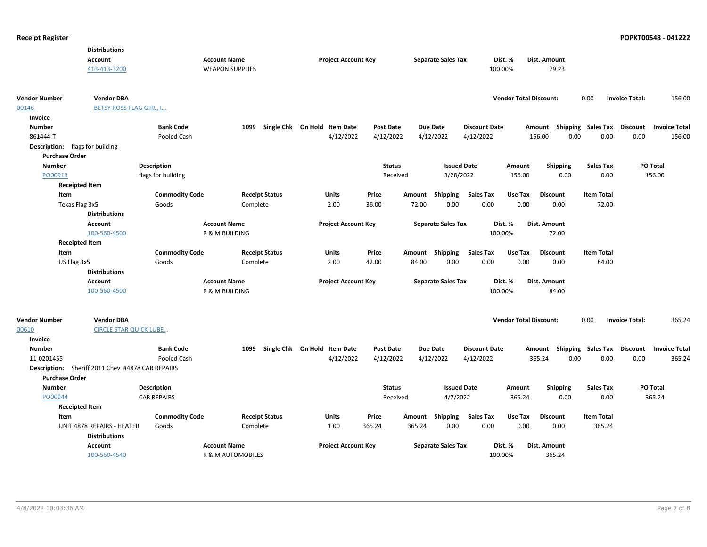|                                 | <b>Distributions</b>                             |                       |                              |                       |                              |                  |        |                           |                      |                               |                 |                             |                       |                      |
|---------------------------------|--------------------------------------------------|-----------------------|------------------------------|-----------------------|------------------------------|------------------|--------|---------------------------|----------------------|-------------------------------|-----------------|-----------------------------|-----------------------|----------------------|
|                                 | Account                                          |                       | <b>Account Name</b>          |                       | <b>Project Account Key</b>   |                  |        | <b>Separate Sales Tax</b> |                      | Dist. %                       | Dist. Amount    |                             |                       |                      |
|                                 | 413-413-3200                                     |                       | <b>WEAPON SUPPLIES</b>       |                       |                              |                  |        |                           |                      | 100.00%                       | 79.23           |                             |                       |                      |
|                                 |                                                  |                       |                              |                       |                              |                  |        |                           |                      |                               |                 |                             |                       |                      |
| <b>Vendor Number</b>            | <b>Vendor DBA</b>                                |                       |                              |                       |                              |                  |        |                           |                      | <b>Vendor Total Discount:</b> |                 | 0.00                        | <b>Invoice Total:</b> | 156.00               |
| 00146                           | <b>BETSY ROSS FLAG GIRL, I</b>                   |                       |                              |                       |                              |                  |        |                           |                      |                               |                 |                             |                       |                      |
| Invoice                         |                                                  |                       |                              |                       |                              |                  |        |                           |                      |                               |                 |                             |                       |                      |
| <b>Number</b>                   |                                                  | <b>Bank Code</b>      | 1099                         |                       | Single Chk On Hold Item Date | <b>Post Date</b> |        | <b>Due Date</b>           | <b>Discount Date</b> |                               | Amount          | <b>Shipping Sales Tax</b>   | <b>Discount</b>       | <b>Invoice Total</b> |
| 861444-T                        |                                                  | Pooled Cash           |                              |                       | 4/12/2022                    | 4/12/2022        |        | 4/12/2022                 | 4/12/2022            |                               | 156.00<br>0.00  | 0.00                        | 0.00                  | 156.00               |
| Description: flags for building |                                                  |                       |                              |                       |                              |                  |        |                           |                      |                               |                 |                             |                       |                      |
| <b>Purchase Order</b>           |                                                  |                       |                              |                       |                              |                  |        |                           |                      |                               |                 |                             |                       |                      |
| <b>Number</b>                   |                                                  | <b>Description</b>    |                              |                       |                              | <b>Status</b>    |        | <b>Issued Date</b>        |                      | Amount                        | Shipping        | <b>Sales Tax</b>            |                       | PO Total             |
| PO00913                         |                                                  | flags for building    |                              |                       |                              | Received         |        | 3/28/2022                 |                      | 156.00                        | 0.00            | 0.00                        |                       | 156.00               |
| <b>Receipted Item</b>           |                                                  |                       |                              |                       |                              |                  |        |                           |                      |                               |                 |                             |                       |                      |
| Item                            |                                                  | <b>Commodity Code</b> |                              | <b>Receipt Status</b> | <b>Units</b>                 | Price            | Amount | <b>Shipping</b>           | <b>Sales Tax</b>     | Use Tax                       | <b>Discount</b> | <b>Item Total</b>           |                       |                      |
| Texas Flag 3x5                  |                                                  | Goods                 | Complete                     |                       | 2.00                         | 36.00            | 72.00  | 0.00                      | 0.00                 | 0.00                          | 0.00            | 72.00                       |                       |                      |
|                                 | <b>Distributions</b>                             |                       |                              |                       |                              |                  |        |                           |                      |                               |                 |                             |                       |                      |
|                                 | <b>Account</b>                                   |                       | <b>Account Name</b>          |                       | <b>Project Account Key</b>   |                  |        | <b>Separate Sales Tax</b> |                      | Dist. %                       | Dist. Amount    |                             |                       |                      |
|                                 | 100-560-4500                                     |                       | R & M BUILDING               |                       |                              |                  |        |                           | 100.00%              |                               | 72.00           |                             |                       |                      |
| <b>Receipted Item</b>           |                                                  |                       |                              |                       |                              |                  |        |                           |                      |                               |                 |                             |                       |                      |
| Item                            |                                                  | <b>Commodity Code</b> |                              | <b>Receipt Status</b> | <b>Units</b>                 | Price            |        | Amount Shipping           | <b>Sales Tax</b>     | Use Tax                       | <b>Discount</b> | <b>Item Total</b>           |                       |                      |
| US Flag 3x5                     |                                                  | Goods                 | Complete                     |                       | 2.00                         | 42.00            | 84.00  | 0.00                      | 0.00                 | 0.00                          | 0.00            | 84.00                       |                       |                      |
|                                 | <b>Distributions</b>                             |                       |                              |                       |                              |                  |        |                           |                      |                               |                 |                             |                       |                      |
|                                 | <b>Account</b>                                   |                       | <b>Account Name</b>          |                       | <b>Project Account Key</b>   |                  |        | <b>Separate Sales Tax</b> |                      | Dist. %                       | Dist. Amount    |                             |                       |                      |
|                                 | 100-560-4500                                     |                       | R & M BUILDING               |                       |                              |                  |        |                           | 100.00%              |                               | 84.00           |                             |                       |                      |
|                                 |                                                  |                       |                              |                       |                              |                  |        |                           |                      |                               |                 |                             |                       |                      |
| <b>Vendor Number</b>            | <b>Vendor DBA</b>                                |                       |                              |                       |                              |                  |        |                           |                      | <b>Vendor Total Discount:</b> |                 | 0.00                        | <b>Invoice Total:</b> | 365.24               |
| 00610                           | <b>CIRCLE STAR QUICK LUBE</b>                    |                       |                              |                       |                              |                  |        |                           |                      |                               |                 |                             |                       |                      |
| Invoice                         |                                                  |                       |                              |                       |                              |                  |        |                           |                      |                               |                 |                             |                       |                      |
| <b>Number</b>                   |                                                  | <b>Bank Code</b>      | 1099                         |                       | Single Chk On Hold Item Date | <b>Post Date</b> |        | <b>Due Date</b>           | <b>Discount Date</b> |                               | Amount          | Shipping Sales Tax Discount |                       | <b>Invoice Total</b> |
| 11-0201455                      |                                                  | Pooled Cash           |                              |                       | 4/12/2022                    | 4/12/2022        |        | 4/12/2022                 | 4/12/2022            |                               | 0.00<br>365.24  | 0.00                        | 0.00                  | 365.24               |
|                                 | Description: Sheriff 2011 Chev #4878 CAR REPAIRS |                       |                              |                       |                              |                  |        |                           |                      |                               |                 |                             |                       |                      |
| <b>Purchase Order</b>           |                                                  |                       |                              |                       |                              |                  |        |                           |                      |                               |                 |                             |                       |                      |
| <b>Number</b>                   |                                                  | <b>Description</b>    |                              |                       |                              | <b>Status</b>    |        | <b>Issued Date</b>        |                      | Amount                        | <b>Shipping</b> | <b>Sales Tax</b>            |                       | <b>PO Total</b>      |
| PO00944                         |                                                  | <b>CAR REPAIRS</b>    |                              |                       |                              | Received         |        | 4/7/2022                  |                      | 365.24                        | 0.00            | 0.00                        |                       | 365.24               |
| <b>Receipted Item</b>           |                                                  |                       |                              |                       |                              |                  |        |                           |                      |                               |                 |                             |                       |                      |
| Item                            |                                                  | <b>Commodity Code</b> |                              | <b>Receipt Status</b> | <b>Units</b>                 | Price            |        | Amount Shipping           | <b>Sales Tax</b>     | Use Tax                       | <b>Discount</b> | <b>Item Total</b>           |                       |                      |
|                                 | UNIT 4878 REPAIRS - HEATER                       | Goods                 | Complete                     |                       | 1.00                         | 365.24           | 365.24 | 0.00                      | 0.00                 | 0.00                          | 0.00            | 365.24                      |                       |                      |
|                                 | <b>Distributions</b>                             |                       |                              |                       |                              |                  |        |                           |                      |                               |                 |                             |                       |                      |
|                                 | <b>Account</b>                                   |                       | <b>Account Name</b>          |                       | <b>Project Account Key</b>   |                  |        | <b>Separate Sales Tax</b> |                      | Dist. %                       | Dist. Amount    |                             |                       |                      |
|                                 | 100-560-4540                                     |                       | <b>R &amp; M AUTOMOBILES</b> |                       |                              |                  |        |                           | 100.00%              |                               | 365.24          |                             |                       |                      |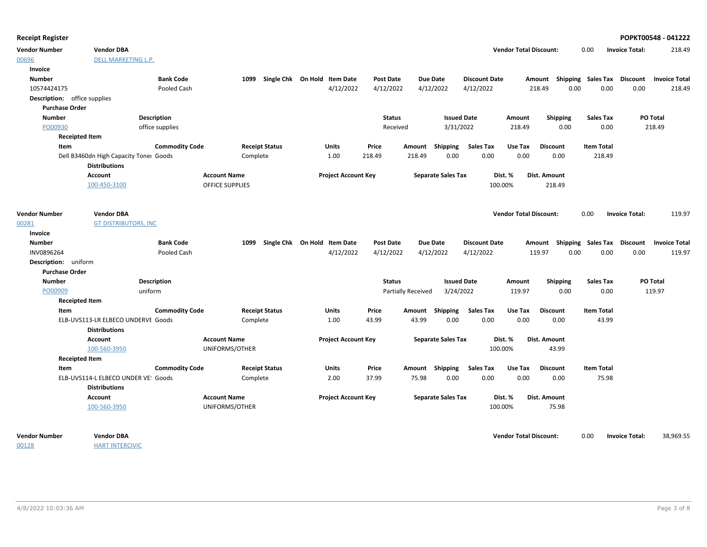| Receipt Register |  |  |
|------------------|--|--|
|------------------|--|--|

| <b>Receipt Register</b>             |                                        |                       |                                       |                              |                            |                  |                           |                           |                      |                               |                                    |                   |                       | POPKT00548 - 041222  |
|-------------------------------------|----------------------------------------|-----------------------|---------------------------------------|------------------------------|----------------------------|------------------|---------------------------|---------------------------|----------------------|-------------------------------|------------------------------------|-------------------|-----------------------|----------------------|
| <b>Vendor Number</b>                | <b>Vendor DBA</b>                      |                       |                                       |                              |                            |                  |                           |                           |                      | <b>Vendor Total Discount:</b> |                                    | 0.00              | <b>Invoice Total:</b> | 218.49               |
| 00696                               | <b>DELL MARKETING L.P.</b>             |                       |                                       |                              |                            |                  |                           |                           |                      |                               |                                    |                   |                       |                      |
| Invoice                             |                                        |                       |                                       |                              |                            |                  |                           |                           |                      |                               |                                    |                   |                       |                      |
| <b>Number</b>                       |                                        | <b>Bank Code</b>      | 1099                                  | Single Chk On Hold Item Date |                            | Post Date        |                           | <b>Due Date</b>           | <b>Discount Date</b> |                               | Amount Shipping Sales Tax Discount |                   |                       | <b>Invoice Total</b> |
| 10574424175                         |                                        | Pooled Cash           |                                       |                              | 4/12/2022                  | 4/12/2022        |                           | 4/12/2022                 | 4/12/2022            |                               | 0.00<br>218.49                     | 0.00              | 0.00                  | 218.49               |
| <b>Description:</b> office supplies |                                        |                       |                                       |                              |                            |                  |                           |                           |                      |                               |                                    |                   |                       |                      |
| <b>Purchase Order</b>               |                                        |                       |                                       |                              |                            |                  |                           |                           |                      |                               |                                    |                   |                       |                      |
| <b>Number</b>                       |                                        | Description           |                                       |                              |                            | <b>Status</b>    |                           | <b>Issued Date</b>        |                      | Amount                        | <b>Shipping</b>                    | <b>Sales Tax</b>  |                       | PO Total             |
| PO00930                             |                                        | office supplies       |                                       |                              |                            | Received         |                           | 3/31/2022                 |                      | 218.49                        | 0.00                               | 0.00              |                       | 218.49               |
| <b>Receipted Item</b>               |                                        |                       |                                       |                              |                            |                  |                           |                           |                      |                               |                                    |                   |                       |                      |
| Item                                |                                        | <b>Commodity Code</b> |                                       | <b>Receipt Status</b>        | Units                      | Price            |                           | Amount Shipping           | <b>Sales Tax</b>     | Use Tax                       | <b>Discount</b>                    | <b>Item Total</b> |                       |                      |
|                                     | Dell B3460dn High Capacity Toner Goods |                       |                                       | Complete                     | 1.00                       | 218.49           | 218.49                    | 0.00                      | 0.00                 | 0.00                          | 0.00                               | 218.49            |                       |                      |
|                                     | <b>Distributions</b>                   |                       |                                       |                              |                            |                  |                           |                           |                      |                               |                                    |                   |                       |                      |
|                                     | Account                                |                       | <b>Account Name</b>                   |                              | <b>Project Account Key</b> |                  |                           | <b>Separate Sales Tax</b> |                      | Dist. %                       | Dist. Amount                       |                   |                       |                      |
|                                     | 100-450-3100                           |                       | <b>OFFICE SUPPLIES</b>                |                              |                            |                  |                           |                           | 100.00%              |                               | 218.49                             |                   |                       |                      |
| <b>Vendor Number</b>                | <b>Vendor DBA</b>                      |                       |                                       |                              |                            |                  |                           |                           |                      | <b>Vendor Total Discount:</b> |                                    | 0.00              | <b>Invoice Total:</b> | 119.97               |
| 00281                               | <b>GT DISTRIBUTORS, INC</b>            |                       |                                       |                              |                            |                  |                           |                           |                      |                               |                                    |                   |                       |                      |
| Invoice                             |                                        |                       |                                       |                              |                            |                  |                           |                           |                      |                               |                                    |                   |                       |                      |
| <b>Number</b>                       |                                        | <b>Bank Code</b>      | 1099                                  | Single Chk On Hold Item Date |                            | <b>Post Date</b> |                           | <b>Due Date</b>           | <b>Discount Date</b> |                               | Amount Shipping Sales Tax Discount |                   |                       | <b>Invoice Total</b> |
| INV0896264                          |                                        | Pooled Cash           |                                       |                              | 4/12/2022                  | 4/12/2022        |                           | 4/12/2022                 | 4/12/2022            |                               | 119.97<br>0.00                     | 0.00              | 0.00                  | 119.97               |
| Description: uniform                |                                        |                       |                                       |                              |                            |                  |                           |                           |                      |                               |                                    |                   |                       |                      |
| <b>Purchase Order</b>               |                                        |                       |                                       |                              |                            |                  |                           |                           |                      |                               |                                    |                   |                       |                      |
| <b>Number</b>                       |                                        | Description           |                                       |                              |                            | <b>Status</b>    |                           | <b>Issued Date</b>        |                      | Amount                        | <b>Shipping</b>                    | Sales Tax         |                       | PO Total             |
| PO00909                             |                                        | uniform               |                                       |                              |                            |                  | <b>Partially Received</b> | 3/24/2022                 |                      | 119.97                        | 0.00                               | 0.00              |                       | 119.97               |
| <b>Receipted Item</b>               |                                        |                       |                                       |                              |                            |                  |                           |                           |                      |                               |                                    |                   |                       |                      |
| Item                                |                                        | <b>Commodity Code</b> |                                       | <b>Receipt Status</b>        | Units                      | Price            |                           | Amount Shipping           | <b>Sales Tax</b>     | Use Tax                       | <b>Discount</b>                    | <b>Item Total</b> |                       |                      |
|                                     | ELB-UVS113-LR ELBECO UNDERVE Goods     |                       |                                       | Complete                     | 1.00                       | 43.99            | 43.99                     | 0.00                      | 0.00                 | 0.00                          | 0.00                               | 43.99             |                       |                      |
|                                     | <b>Distributions</b>                   |                       |                                       |                              |                            |                  |                           |                           |                      |                               |                                    |                   |                       |                      |
|                                     | Account                                |                       | <b>Account Name</b>                   |                              | <b>Project Account Key</b> |                  |                           | <b>Separate Sales Tax</b> |                      | Dist. %                       | Dist. Amount                       |                   |                       |                      |
|                                     | 100-560-3950                           |                       | UNIFORMS/OTHER                        |                              |                            |                  |                           |                           | 100.00%              |                               | 43.99                              |                   |                       |                      |
| <b>Receipted Item</b>               |                                        |                       |                                       |                              |                            |                  |                           |                           |                      |                               |                                    |                   |                       |                      |
| Item                                |                                        | <b>Commodity Code</b> |                                       | <b>Receipt Status</b>        | Units                      | Price            |                           | Amount Shipping           | <b>Sales Tax</b>     | Use Tax                       | <b>Discount</b>                    | <b>Item Total</b> |                       |                      |
|                                     | ELB-UVS114-L ELBECO UNDER VE: Goods    |                       |                                       | Complete                     | 2.00                       | 37.99            | 75.98                     | 0.00                      | 0.00                 | 0.00                          | 0.00                               | 75.98             |                       |                      |
|                                     | <b>Distributions</b>                   |                       |                                       |                              |                            |                  |                           |                           |                      |                               |                                    |                   |                       |                      |
|                                     | Account<br>100-560-3950                |                       | <b>Account Name</b><br>UNIFORMS/OTHER |                              | <b>Project Account Key</b> |                  |                           | <b>Separate Sales Tax</b> | 100.00%              | Dist. %                       | Dist. Amount<br>75.98              |                   |                       |                      |
| <b>Vendor Number</b>                | <b>Vendor DBA</b>                      |                       |                                       |                              |                            |                  |                           |                           |                      | <b>Vendor Total Discount:</b> |                                    | 0.00              | <b>Invoice Total:</b> | 38,969.55            |

00128

**HART INTERCIVIC**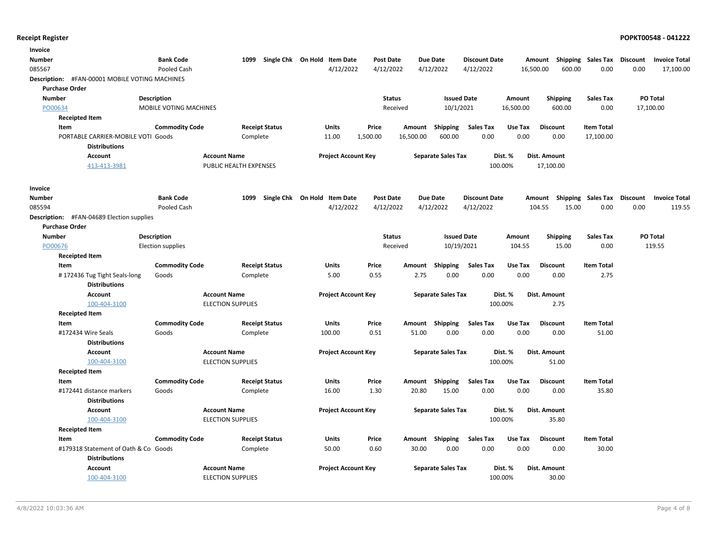| <b>Bank Code</b><br>Single Chk On Hold Item Date<br>Number<br>1099<br><b>Post Date</b><br>Due Date<br><b>Discount Date</b><br>Shipping Sales Tax<br>Discount<br>Amount<br>085567<br>Pooled Cash<br>4/12/2022<br>4/12/2022<br>4/12/2022<br>4/12/2022<br>16,500.00<br>600.00<br>0.00<br>0.00<br>Description: #FAN-00001 MOBILE VOTING MACHINES<br><b>Purchase Order</b><br><b>Issued Date</b><br><b>PO Total</b><br><b>Number</b><br><b>Description</b><br><b>Status</b><br>Amount<br><b>Shipping</b><br><b>Sales Tax</b><br>10/1/2021<br>600.00<br>PO00634<br>MOBILE VOTING MACHINES<br>16,500.00<br>0.00<br>17,100.00<br>Received<br><b>Receipted Item</b><br><b>Commodity Code</b><br><b>Receipt Status</b><br><b>Sales Tax</b><br><b>Discount</b><br><b>Item Total</b><br>Item<br>Units<br>Price<br>Amount<br>Shipping<br>Use Tax<br>1,500.00<br>600.00<br>0.00<br>0.00<br>0.00<br>17,100.00<br>PORTABLE CARRIER-MOBILE VOTI Goods<br>Complete<br>11.00<br>16,500.00<br><b>Distributions</b><br><b>Account Name</b><br><b>Project Account Key</b><br><b>Separate Sales Tax</b><br>Dist. %<br>Dist. Amount<br><b>Account</b><br>413-413-3981<br>PUBLIC HEALTH EXPENSES<br>100.00%<br>17,100.00 | Invoice |  |  |  |  |  |                      |
|-------------------------------------------------------------------------------------------------------------------------------------------------------------------------------------------------------------------------------------------------------------------------------------------------------------------------------------------------------------------------------------------------------------------------------------------------------------------------------------------------------------------------------------------------------------------------------------------------------------------------------------------------------------------------------------------------------------------------------------------------------------------------------------------------------------------------------------------------------------------------------------------------------------------------------------------------------------------------------------------------------------------------------------------------------------------------------------------------------------------------------------------------------------------------------------------------|---------|--|--|--|--|--|----------------------|
|                                                                                                                                                                                                                                                                                                                                                                                                                                                                                                                                                                                                                                                                                                                                                                                                                                                                                                                                                                                                                                                                                                                                                                                                 |         |  |  |  |  |  | <b>Invoice Total</b> |
|                                                                                                                                                                                                                                                                                                                                                                                                                                                                                                                                                                                                                                                                                                                                                                                                                                                                                                                                                                                                                                                                                                                                                                                                 |         |  |  |  |  |  | 17,100.00            |
|                                                                                                                                                                                                                                                                                                                                                                                                                                                                                                                                                                                                                                                                                                                                                                                                                                                                                                                                                                                                                                                                                                                                                                                                 |         |  |  |  |  |  |                      |
|                                                                                                                                                                                                                                                                                                                                                                                                                                                                                                                                                                                                                                                                                                                                                                                                                                                                                                                                                                                                                                                                                                                                                                                                 |         |  |  |  |  |  |                      |
|                                                                                                                                                                                                                                                                                                                                                                                                                                                                                                                                                                                                                                                                                                                                                                                                                                                                                                                                                                                                                                                                                                                                                                                                 |         |  |  |  |  |  |                      |
|                                                                                                                                                                                                                                                                                                                                                                                                                                                                                                                                                                                                                                                                                                                                                                                                                                                                                                                                                                                                                                                                                                                                                                                                 |         |  |  |  |  |  |                      |
|                                                                                                                                                                                                                                                                                                                                                                                                                                                                                                                                                                                                                                                                                                                                                                                                                                                                                                                                                                                                                                                                                                                                                                                                 |         |  |  |  |  |  |                      |
|                                                                                                                                                                                                                                                                                                                                                                                                                                                                                                                                                                                                                                                                                                                                                                                                                                                                                                                                                                                                                                                                                                                                                                                                 |         |  |  |  |  |  |                      |
|                                                                                                                                                                                                                                                                                                                                                                                                                                                                                                                                                                                                                                                                                                                                                                                                                                                                                                                                                                                                                                                                                                                                                                                                 |         |  |  |  |  |  |                      |
|                                                                                                                                                                                                                                                                                                                                                                                                                                                                                                                                                                                                                                                                                                                                                                                                                                                                                                                                                                                                                                                                                                                                                                                                 |         |  |  |  |  |  |                      |
|                                                                                                                                                                                                                                                                                                                                                                                                                                                                                                                                                                                                                                                                                                                                                                                                                                                                                                                                                                                                                                                                                                                                                                                                 |         |  |  |  |  |  |                      |
|                                                                                                                                                                                                                                                                                                                                                                                                                                                                                                                                                                                                                                                                                                                                                                                                                                                                                                                                                                                                                                                                                                                                                                                                 |         |  |  |  |  |  |                      |
| Invoice                                                                                                                                                                                                                                                                                                                                                                                                                                                                                                                                                                                                                                                                                                                                                                                                                                                                                                                                                                                                                                                                                                                                                                                         |         |  |  |  |  |  |                      |
| <b>Bank Code</b><br>Single Chk On Hold Item Date<br>Amount Shipping Sales Tax<br>Discount<br><b>Number</b><br>1099<br><b>Post Date</b><br><b>Due Date</b><br><b>Discount Date</b>                                                                                                                                                                                                                                                                                                                                                                                                                                                                                                                                                                                                                                                                                                                                                                                                                                                                                                                                                                                                               |         |  |  |  |  |  | <b>Invoice Total</b> |
| 085594<br>Pooled Cash<br>4/12/2022<br>4/12/2022<br>4/12/2022<br>4/12/2022<br>104.55<br>15.00<br>0.00<br>0.00                                                                                                                                                                                                                                                                                                                                                                                                                                                                                                                                                                                                                                                                                                                                                                                                                                                                                                                                                                                                                                                                                    |         |  |  |  |  |  | 119.55               |
| <b>Description:</b> #FAN-04689 Election supplies                                                                                                                                                                                                                                                                                                                                                                                                                                                                                                                                                                                                                                                                                                                                                                                                                                                                                                                                                                                                                                                                                                                                                |         |  |  |  |  |  |                      |
| <b>Purchase Order</b>                                                                                                                                                                                                                                                                                                                                                                                                                                                                                                                                                                                                                                                                                                                                                                                                                                                                                                                                                                                                                                                                                                                                                                           |         |  |  |  |  |  |                      |
| <b>Issued Date</b><br>PO Total<br><b>Number</b><br>Description<br><b>Status</b><br><b>Shipping</b><br><b>Sales Tax</b><br>Amount                                                                                                                                                                                                                                                                                                                                                                                                                                                                                                                                                                                                                                                                                                                                                                                                                                                                                                                                                                                                                                                                |         |  |  |  |  |  |                      |
| PO00676<br>Received<br>10/19/2021<br>104.55<br>15.00<br>0.00<br>119.55<br>Election supplies                                                                                                                                                                                                                                                                                                                                                                                                                                                                                                                                                                                                                                                                                                                                                                                                                                                                                                                                                                                                                                                                                                     |         |  |  |  |  |  |                      |
| <b>Receipted Item</b>                                                                                                                                                                                                                                                                                                                                                                                                                                                                                                                                                                                                                                                                                                                                                                                                                                                                                                                                                                                                                                                                                                                                                                           |         |  |  |  |  |  |                      |
| <b>Commodity Code</b><br><b>Receipt Status</b><br><b>Discount</b><br><b>Item Total</b><br>Item<br>Units<br>Price<br>Amount<br>Shipping<br>Sales Tax<br>Use Tax                                                                                                                                                                                                                                                                                                                                                                                                                                                                                                                                                                                                                                                                                                                                                                                                                                                                                                                                                                                                                                  |         |  |  |  |  |  |                      |
| 2.75<br>2.75<br>Complete<br>5.00<br>0.55<br>0.00<br>0.00<br>0.00<br>0.00<br>#172436 Tug Tight Seals-long<br>Goods<br><b>Distributions</b>                                                                                                                                                                                                                                                                                                                                                                                                                                                                                                                                                                                                                                                                                                                                                                                                                                                                                                                                                                                                                                                       |         |  |  |  |  |  |                      |
| <b>Account Name</b><br><b>Project Account Key</b><br><b>Separate Sales Tax</b><br>Dist. %<br>Dist. Amount<br>Account                                                                                                                                                                                                                                                                                                                                                                                                                                                                                                                                                                                                                                                                                                                                                                                                                                                                                                                                                                                                                                                                            |         |  |  |  |  |  |                      |
| 100-404-3100<br><b>ELECTION SUPPLIES</b><br>100.00%<br>2.75                                                                                                                                                                                                                                                                                                                                                                                                                                                                                                                                                                                                                                                                                                                                                                                                                                                                                                                                                                                                                                                                                                                                     |         |  |  |  |  |  |                      |
| <b>Receipted Item</b>                                                                                                                                                                                                                                                                                                                                                                                                                                                                                                                                                                                                                                                                                                                                                                                                                                                                                                                                                                                                                                                                                                                                                                           |         |  |  |  |  |  |                      |
| <b>Commodity Code</b><br><b>Receipt Status</b><br>Price<br>Shipping<br><b>Sales Tax</b><br><b>Discount</b><br><b>Item Total</b><br>Item<br>Units<br>Amount<br>Use Tax                                                                                                                                                                                                                                                                                                                                                                                                                                                                                                                                                                                                                                                                                                                                                                                                                                                                                                                                                                                                                           |         |  |  |  |  |  |                      |
| Goods<br>Complete<br>100.00<br>0.51<br>51.00<br>0.00<br>0.00<br>0.00<br>0.00<br>51.00<br>#172434 Wire Seals                                                                                                                                                                                                                                                                                                                                                                                                                                                                                                                                                                                                                                                                                                                                                                                                                                                                                                                                                                                                                                                                                     |         |  |  |  |  |  |                      |
| <b>Distributions</b>                                                                                                                                                                                                                                                                                                                                                                                                                                                                                                                                                                                                                                                                                                                                                                                                                                                                                                                                                                                                                                                                                                                                                                            |         |  |  |  |  |  |                      |
| <b>Account Name</b><br><b>Project Account Key</b><br><b>Separate Sales Tax</b><br>Dist. %<br>Dist. Amount<br><b>Account</b>                                                                                                                                                                                                                                                                                                                                                                                                                                                                                                                                                                                                                                                                                                                                                                                                                                                                                                                                                                                                                                                                     |         |  |  |  |  |  |                      |
| 100-404-3100<br><b>ELECTION SUPPLIES</b><br>100.00%<br>51.00                                                                                                                                                                                                                                                                                                                                                                                                                                                                                                                                                                                                                                                                                                                                                                                                                                                                                                                                                                                                                                                                                                                                    |         |  |  |  |  |  |                      |
| <b>Receipted Item</b>                                                                                                                                                                                                                                                                                                                                                                                                                                                                                                                                                                                                                                                                                                                                                                                                                                                                                                                                                                                                                                                                                                                                                                           |         |  |  |  |  |  |                      |
| <b>Receipt Status</b><br><b>Item Total</b><br>Item<br><b>Commodity Code</b><br>Units<br>Price<br>Shipping<br><b>Sales Tax</b><br>Use Tax<br><b>Discount</b><br>Amount                                                                                                                                                                                                                                                                                                                                                                                                                                                                                                                                                                                                                                                                                                                                                                                                                                                                                                                                                                                                                           |         |  |  |  |  |  |                      |
| 15.00<br>35.80<br>#172441 distance markers<br>Goods<br>Complete<br>16.00<br>1.30<br>20.80<br>0.00<br>0.00<br>0.00                                                                                                                                                                                                                                                                                                                                                                                                                                                                                                                                                                                                                                                                                                                                                                                                                                                                                                                                                                                                                                                                               |         |  |  |  |  |  |                      |
| <b>Distributions</b>                                                                                                                                                                                                                                                                                                                                                                                                                                                                                                                                                                                                                                                                                                                                                                                                                                                                                                                                                                                                                                                                                                                                                                            |         |  |  |  |  |  |                      |
| <b>Account Name</b><br><b>Project Account Key</b><br><b>Separate Sales Tax</b><br>Dist. %<br>Dist. Amount<br>Account                                                                                                                                                                                                                                                                                                                                                                                                                                                                                                                                                                                                                                                                                                                                                                                                                                                                                                                                                                                                                                                                            |         |  |  |  |  |  |                      |
| 100-404-3100<br><b>ELECTION SUPPLIES</b><br>100.00%<br>35.80                                                                                                                                                                                                                                                                                                                                                                                                                                                                                                                                                                                                                                                                                                                                                                                                                                                                                                                                                                                                                                                                                                                                    |         |  |  |  |  |  |                      |
| <b>Receipted Item</b>                                                                                                                                                                                                                                                                                                                                                                                                                                                                                                                                                                                                                                                                                                                                                                                                                                                                                                                                                                                                                                                                                                                                                                           |         |  |  |  |  |  |                      |
| <b>Commodity Code</b><br><b>Receipt Status</b><br>Units<br>Price<br>Shipping<br><b>Sales Tax</b><br><b>Discount</b><br><b>Item Total</b><br>Item<br>Amount<br>Use Tax                                                                                                                                                                                                                                                                                                                                                                                                                                                                                                                                                                                                                                                                                                                                                                                                                                                                                                                                                                                                                           |         |  |  |  |  |  |                      |
| #179318 Statement of Oath & Co Goods<br>Complete<br>50.00<br>0.60<br>30.00<br>0.00<br>0.00<br>0.00<br>0.00<br>30.00<br><b>Distributions</b>                                                                                                                                                                                                                                                                                                                                                                                                                                                                                                                                                                                                                                                                                                                                                                                                                                                                                                                                                                                                                                                     |         |  |  |  |  |  |                      |
| <b>Account Name</b><br><b>Project Account Key</b><br><b>Separate Sales Tax</b><br><b>Account</b><br>Dist. %<br>Dist. Amount                                                                                                                                                                                                                                                                                                                                                                                                                                                                                                                                                                                                                                                                                                                                                                                                                                                                                                                                                                                                                                                                     |         |  |  |  |  |  |                      |
| 100-404-3100<br><b>ELECTION SUPPLIES</b><br>100.00%<br>30.00                                                                                                                                                                                                                                                                                                                                                                                                                                                                                                                                                                                                                                                                                                                                                                                                                                                                                                                                                                                                                                                                                                                                    |         |  |  |  |  |  |                      |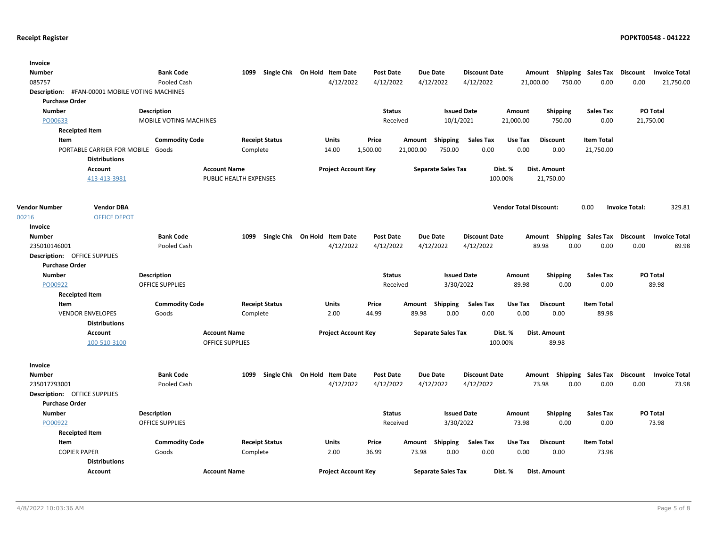| Invoice<br><b>Number</b><br>085757<br>Description: #FAN-00001 MOBILE VOTING MACHINES<br><b>Purchase Order</b> |                                     | <b>Bank Code</b><br>Pooled Cash | 1099                   |                       | Single Chk On Hold Item Date<br>4/12/2022 | Post Date<br>4/12/2022     |               | <b>Due Date</b><br>4/12/2022 | <b>Discount Date</b><br>4/12/2022 | 21,000.00                     | Amount<br>750.00 | Shipping Sales Tax<br>0.00 | <b>Discount</b><br>0.00 | <b>Invoice Total</b><br>21,750.00 |
|---------------------------------------------------------------------------------------------------------------|-------------------------------------|---------------------------------|------------------------|-----------------------|-------------------------------------------|----------------------------|---------------|------------------------------|-----------------------------------|-------------------------------|------------------|----------------------------|-------------------------|-----------------------------------|
| <b>Number</b>                                                                                                 |                                     | <b>Description</b>              |                        |                       |                                           |                            | <b>Status</b> | <b>Issued Date</b>           |                                   | Amount                        | <b>Shipping</b>  | <b>Sales Tax</b>           |                         | PO Total                          |
| PO00633                                                                                                       |                                     | MOBILE VOTING MACHINES          |                        |                       |                                           |                            | Received      | 10/1/2021                    |                                   | 21,000.00                     | 750.00           | 0.00                       |                         | 21,750.00                         |
| <b>Receipted Item</b>                                                                                         |                                     |                                 |                        |                       |                                           |                            |               |                              |                                   |                               |                  |                            |                         |                                   |
| <b>Item</b>                                                                                                   |                                     | <b>Commodity Code</b>           |                        | <b>Receipt Status</b> | <b>Units</b>                              | Price                      | Amount        | Shipping                     | <b>Sales Tax</b>                  | Use Tax                       | <b>Discount</b>  | <b>Item Total</b>          |                         |                                   |
|                                                                                                               | PORTABLE CARRIER FOR MOBILE ' Goods |                                 | Complete               |                       | 14.00                                     | 1,500.00                   | 21,000.00     | 750.00                       | 0.00                              | 0.00                          | 0.00             | 21,750.00                  |                         |                                   |
|                                                                                                               | <b>Distributions</b>                |                                 |                        |                       |                                           |                            |               |                              |                                   |                               |                  |                            |                         |                                   |
|                                                                                                               | <b>Account</b>                      |                                 | <b>Account Name</b>    |                       |                                           | <b>Project Account Key</b> |               | <b>Separate Sales Tax</b>    |                                   | Dist. %                       | Dist. Amount     |                            |                         |                                   |
|                                                                                                               | 413-413-3981                        |                                 | PUBLIC HEALTH EXPENSES |                       |                                           |                            |               |                              | 100.00%                           |                               | 21,750.00        |                            |                         |                                   |
|                                                                                                               |                                     |                                 |                        |                       |                                           |                            |               |                              |                                   |                               |                  |                            |                         |                                   |
|                                                                                                               |                                     |                                 |                        |                       |                                           |                            |               |                              |                                   |                               |                  |                            |                         |                                   |
| <b>Vendor Number</b>                                                                                          | <b>Vendor DBA</b>                   |                                 |                        |                       |                                           |                            |               |                              |                                   | <b>Vendor Total Discount:</b> |                  | 0.00                       | <b>Invoice Total:</b>   | 329.81                            |
| 00216                                                                                                         | <b>OFFICE DEPOT</b>                 |                                 |                        |                       |                                           |                            |               |                              |                                   |                               |                  |                            |                         |                                   |
| Invoice                                                                                                       |                                     |                                 |                        |                       |                                           |                            |               |                              |                                   |                               |                  |                            |                         |                                   |
| <b>Number</b>                                                                                                 |                                     | <b>Bank Code</b>                | 1099                   |                       | Single Chk On Hold Item Date              | <b>Post Date</b>           |               | <b>Due Date</b>              | <b>Discount Date</b>              |                               | Amount           | <b>Shipping Sales Tax</b>  | <b>Discount</b>         | <b>Invoice Total</b>              |
| 235010146001                                                                                                  |                                     | Pooled Cash                     |                        |                       | 4/12/2022                                 | 4/12/2022                  |               | 4/12/2022                    | 4/12/2022                         |                               | 89.98<br>0.00    | 0.00                       | 0.00                    | 89.98                             |
| <b>Description: OFFICE SUPPLIES</b>                                                                           |                                     |                                 |                        |                       |                                           |                            |               |                              |                                   |                               |                  |                            |                         |                                   |
| <b>Purchase Order</b>                                                                                         |                                     |                                 |                        |                       |                                           |                            |               |                              |                                   |                               |                  |                            |                         |                                   |
| <b>Number</b>                                                                                                 |                                     | Description                     |                        |                       |                                           |                            | <b>Status</b> | <b>Issued Date</b>           |                                   | Amount                        | <b>Shipping</b>  | <b>Sales Tax</b>           |                         | PO Total                          |
| PO00922                                                                                                       |                                     | <b>OFFICE SUPPLIES</b>          |                        |                       |                                           |                            | Received      | 3/30/2022                    |                                   | 89.98                         | 0.00             | 0.00                       |                         | 89.98                             |
| <b>Receipted Item</b>                                                                                         |                                     |                                 |                        |                       |                                           |                            |               |                              |                                   |                               |                  |                            |                         |                                   |
| Item                                                                                                          |                                     | <b>Commodity Code</b>           |                        | <b>Receipt Status</b> | Units                                     | Price                      |               | Amount Shipping              | <b>Sales Tax</b>                  | Use Tax                       | <b>Discount</b>  | <b>Item Total</b>          |                         |                                   |
|                                                                                                               | <b>VENDOR ENVELOPES</b>             | Goods                           | Complete               |                       | 2.00                                      | 44.99                      | 89.98         | 0.00                         | 0.00                              | 0.00                          | 0.00             | 89.98                      |                         |                                   |
|                                                                                                               | <b>Distributions</b>                |                                 |                        |                       |                                           |                            |               |                              |                                   |                               |                  |                            |                         |                                   |
|                                                                                                               | <b>Account</b>                      |                                 | <b>Account Name</b>    |                       | <b>Project Account Key</b>                |                            |               | <b>Separate Sales Tax</b>    |                                   | Dist. %                       | Dist. Amount     |                            |                         |                                   |
|                                                                                                               | 100-510-3100                        |                                 | <b>OFFICE SUPPLIES</b> |                       |                                           |                            |               |                              | 100.00%                           |                               | 89.98            |                            |                         |                                   |
|                                                                                                               |                                     |                                 |                        |                       |                                           |                            |               |                              |                                   |                               |                  |                            |                         |                                   |
| Invoice                                                                                                       |                                     |                                 |                        |                       |                                           |                            |               |                              |                                   |                               |                  |                            |                         |                                   |
| <b>Number</b>                                                                                                 |                                     | <b>Bank Code</b>                | 1099                   | Single Chk On Hold    | <b>Item Date</b>                          | Post Date                  |               | <b>Due Date</b>              | <b>Discount Date</b>              |                               | Amount           | <b>Shipping Sales Tax</b>  | Discount                | <b>Invoice Total</b>              |
| 235017793001                                                                                                  |                                     | Pooled Cash                     |                        |                       | 4/12/2022                                 | 4/12/2022                  |               | 4/12/2022                    | 4/12/2022                         |                               | 73.98<br>0.00    | 0.00                       | 0.00                    | 73.98                             |
| <b>Description: OFFICE SUPPLIES</b>                                                                           |                                     |                                 |                        |                       |                                           |                            |               |                              |                                   |                               |                  |                            |                         |                                   |
| <b>Purchase Order</b>                                                                                         |                                     |                                 |                        |                       |                                           |                            |               |                              |                                   |                               |                  |                            |                         |                                   |
| <b>Number</b>                                                                                                 |                                     | <b>Description</b>              |                        |                       |                                           |                            | <b>Status</b> | <b>Issued Date</b>           |                                   | Amount                        | Shipping         | <b>Sales Tax</b>           |                         | PO Total                          |
| PO00922                                                                                                       |                                     | <b>OFFICE SUPPLIES</b>          |                        |                       |                                           |                            | Received      | 3/30/2022                    |                                   | 73.98                         | 0.00             | 0.00                       |                         | 73.98                             |
| <b>Receipted Item</b>                                                                                         |                                     |                                 |                        |                       |                                           |                            |               |                              |                                   |                               |                  |                            |                         |                                   |
| Item                                                                                                          |                                     | <b>Commodity Code</b>           |                        | <b>Receipt Status</b> | Units                                     | Price                      |               | Amount Shipping              | <b>Sales Tax</b>                  | Use Tax                       | <b>Discount</b>  | <b>Item Total</b>          |                         |                                   |
| <b>COPIER PAPER</b>                                                                                           |                                     | Goods                           | Complete               |                       | 2.00                                      | 36.99                      | 73.98         | 0.00                         | 0.00                              | 0.00                          | 0.00             | 73.98                      |                         |                                   |
|                                                                                                               | <b>Distributions</b>                |                                 |                        |                       |                                           |                            |               |                              |                                   |                               |                  |                            |                         |                                   |
|                                                                                                               | <b>Account</b>                      |                                 | <b>Account Name</b>    |                       |                                           | <b>Project Account Key</b> |               | <b>Separate Sales Tax</b>    |                                   | Dist. %                       | Dist. Amount     |                            |                         |                                   |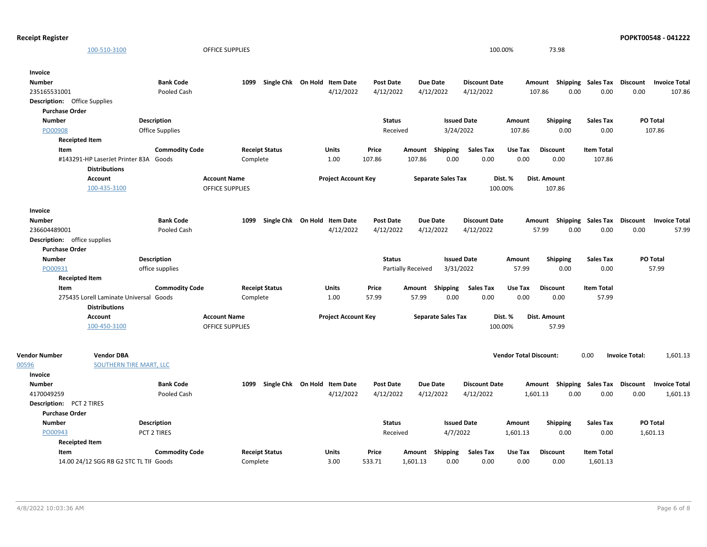| <b>Receipt Register</b>                                                                   |                                               |                                   |                                           |                                     |                                             |                                             |                                                        |                                   | POPKT00548 - 041222                                |
|-------------------------------------------------------------------------------------------|-----------------------------------------------|-----------------------------------|-------------------------------------------|-------------------------------------|---------------------------------------------|---------------------------------------------|--------------------------------------------------------|-----------------------------------|----------------------------------------------------|
| 100-510-3100                                                                              | OFFICE SUPPLIES                               |                                   |                                           |                                     |                                             | 100.00%                                     | 73.98                                                  |                                   |                                                    |
| Invoice<br><b>Number</b><br>235165531001<br><b>Description:</b> Office Supplies           | <b>Bank Code</b><br>Pooled Cash               | Single Chk On Hold<br>1099        | <b>Item Date</b><br>4/12/2022             | <b>Post Date</b><br>4/12/2022       | <b>Due Date</b><br>4/12/2022                | <b>Discount Date</b><br>4/12/2022           | Amount<br>107.86<br>0.00                               | Shipping Sales Tax<br>0.00        | Discount<br><b>Invoice Total</b><br>0.00<br>107.86 |
| <b>Purchase Order</b><br><b>Number</b><br>PO00908<br><b>Receipted Item</b>                | Description<br><b>Office Supplies</b>         |                                   |                                           | <b>Status</b><br>Received           | <b>Issued Date</b><br>3/24/2022             | Amount<br>107.86                            | <b>Shipping</b><br>0.00                                | <b>Sales Tax</b><br>0.00          | PO Total<br>107.86                                 |
| Item<br>#143291-HP LaserJet Printer 83A Goods<br><b>Distributions</b>                     | <b>Commodity Code</b>                         | <b>Receipt Status</b><br>Complete | Units<br>1.00                             | Price<br>107.86                     | <b>Shipping</b><br>Amount<br>107.86<br>0.00 | <b>Sales Tax</b><br>Use Tax<br>0.00         | <b>Discount</b><br>0.00<br>0.00                        | <b>Item Total</b><br>107.86       |                                                    |
| Account<br>100-435-3100                                                                   | <b>Account Name</b><br><b>OFFICE SUPPLIES</b> |                                   | <b>Project Account Key</b>                |                                     | <b>Separate Sales Tax</b>                   | Dist. %<br>100.00%                          | Dist. Amount<br>107.86                                 |                                   |                                                    |
| Invoice<br><b>Number</b><br>236604489001<br>Description: office supplies                  | <b>Bank Code</b><br>Pooled Cash               | Single Chk On Hold<br>1099        | <b>Item Date</b><br>4/12/2022             | <b>Post Date</b><br>4/12/2022       | <b>Due Date</b><br>4/12/2022                | <b>Discount Date</b><br>4/12/2022           | Amount<br>57.99<br>0.00                                | <b>Shipping Sales Tax</b><br>0.00 | Discount<br><b>Invoice Total</b><br>57.99<br>0.00  |
| <b>Purchase Order</b><br><b>Number</b><br>PO00931                                         | Description<br>office supplies                |                                   |                                           | <b>Status</b><br>Partially Received | <b>Issued Date</b><br>3/31/2022             | Amount<br>57.99                             | Shipping<br>0.00                                       | <b>Sales Tax</b><br>0.00          | PO Total<br>57.99                                  |
| <b>Receipted Item</b><br>Item<br>275435 Lorell Laminate Universal<br><b>Distributions</b> | <b>Commodity Code</b><br>Goods                | <b>Receipt Status</b><br>Complete | <b>Units</b><br>1.00                      | Price<br>57.99                      | Amount<br>Shipping<br>57.99<br>0.00         | <b>Sales Tax</b><br>Use Tax<br>0.00<br>0.00 | <b>Discount</b><br>0.00                                | <b>Item Total</b><br>57.99        |                                                    |
| Account<br>100-450-3100                                                                   | <b>Account Name</b><br><b>OFFICE SUPPLIES</b> |                                   | <b>Project Account Key</b>                |                                     | <b>Separate Sales Tax</b>                   | Dist. %<br>100.00%                          | Dist. Amount<br>57.99                                  |                                   |                                                    |
| <b>Vendor DBA</b><br><b>Vendor Number</b><br>00596<br>Invoice                             | <b>SOUTHERN TIRE MART, LLC</b>                |                                   |                                           |                                     |                                             |                                             | <b>Vendor Total Discount:</b>                          | 0.00                              | 1,601.13<br><b>Invoice Total:</b>                  |
| <b>Number</b><br>4170049259<br>Description: PCT 2 TIRES<br><b>Purchase Order</b>          | <b>Bank Code</b><br>Pooled Cash               | 1099                              | Single Chk On Hold Item Date<br>4/12/2022 | <b>Post Date</b><br>4/12/2022       | <b>Due Date</b><br>4/12/2022                | <b>Discount Date</b><br>4/12/2022           | Amount Shipping Sales Tax Discount<br>0.00<br>1,601.13 | 0.00                              | <b>Invoice Total</b><br>0.00<br>1,601.13           |
| <b>Number</b><br>PO00943<br><b>Receipted Item</b>                                         | Description<br>PCT 2 TIRES                    |                                   |                                           | <b>Status</b><br>Received           | <b>Issued Date</b><br>4/7/2022              | Amount<br>1,601.13                          | <b>Shipping</b><br>0.00                                | <b>Sales Tax</b><br>0.00          | PO Total<br>1,601.13                               |
| Item<br>14.00 24/12 SGG RB G2 STC TL TII Goods                                            | <b>Commodity Code</b>                         | <b>Receipt Status</b><br>Complete | <b>Units</b><br>3.00                      | Price<br>533.71                     | Amount<br>Shipping<br>1,601.13<br>0.00      | <b>Sales Tax</b><br>Use Tax<br>0.00         | <b>Discount</b><br>0.00<br>0.00                        | <b>Item Total</b><br>1,601.13     |                                                    |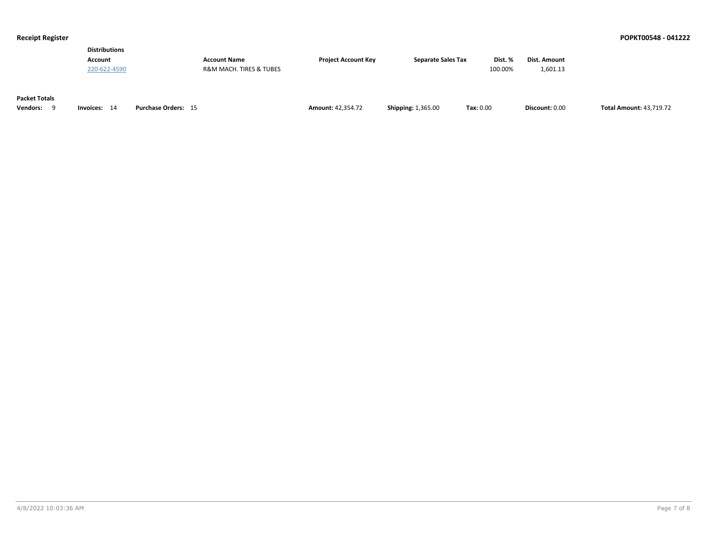| <b>Distributions</b> |                                        |                            |                           |         |              |
|----------------------|----------------------------------------|----------------------------|---------------------------|---------|--------------|
| <b>Account</b>       | <b>Account Name</b>                    | <b>Project Account Key</b> | <b>Separate Sales Tax</b> | Dist. % | Dist. Amount |
| 220-622-4590         | <b>R&amp;M MACH. TIRES &amp; TUBES</b> |                            |                           | 100.00% | 1.601.13     |
|                      |                                        |                            |                           |         |              |

### **Packet Totals**

| Vendors: | Invoices: | Purchase Orders: | <b>Amount: 42.354.72</b> | <b>Shipping: 1,365.00</b> | Tax: 0.00 | Discount: 0.00 | <b>Total Amount: 43.719.72</b> |
|----------|-----------|------------------|--------------------------|---------------------------|-----------|----------------|--------------------------------|
|----------|-----------|------------------|--------------------------|---------------------------|-----------|----------------|--------------------------------|